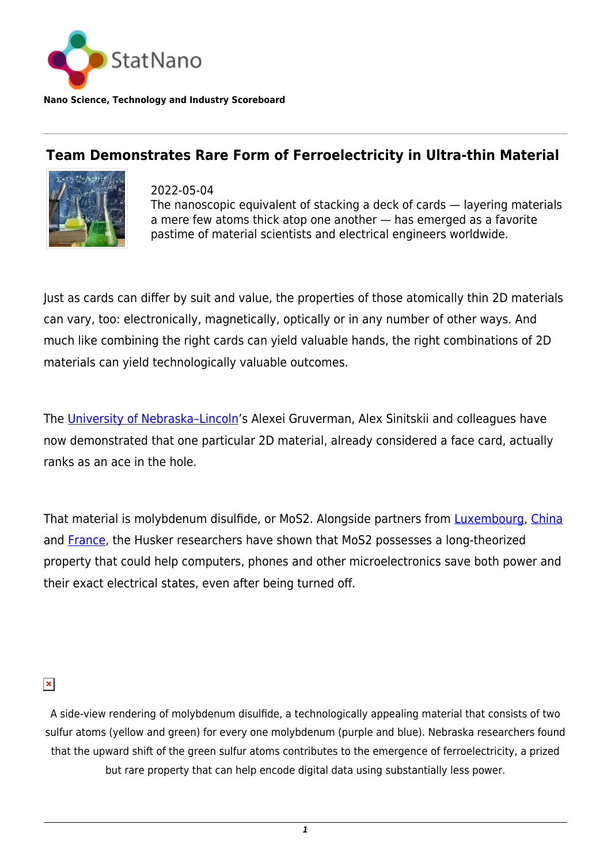

**Nano Science, Technology and Industry Scoreboard**

## **Team Demonstrates Rare Form of Ferroelectricity in Ultra-thin Material**



2022-05-04 The nanoscopic equivalent of stacking a deck of cards — layering materials a mere few atoms thick atop one another — has emerged as a favorite pastime of material scientists and electrical engineers worldwide.

Just as cards can differ by suit and value, the properties of those atomically thin 2D materials can vary, too: electronically, magnetically, optically or in any number of other ways. And much like combining the right cards can yield valuable hands, the right combinations of 2D materials can yield technologically valuable outcomes.

The University of Nebraska-Lincoln's Alexei Gruverman, Alex Sinitskii and colleagues have now demonstrated that one particular 2D material, already considered a face card, actually ranks as an ace in the hole.

That material is molybdenum disulfide, or MoS2. Alongside partners from **Luxembourg**, *[China](http://statnano.com/country/China)* and **France**, the Husker researchers have shown that MoS2 possesses a long-theorized property that could help computers, phones and other microelectronics save both power and their exact electrical states, even after being turned off.

## $\pmb{\times}$

A side-view rendering of molybdenum disulfide, a technologically appealing material that consists of two sulfur atoms (yellow and green) for every one molybdenum (purple and blue). Nebraska researchers found that the upward shift of the green sulfur atoms contributes to the emergence of ferroelectricity, a prized but rare property that can help encode digital data using substantially less power.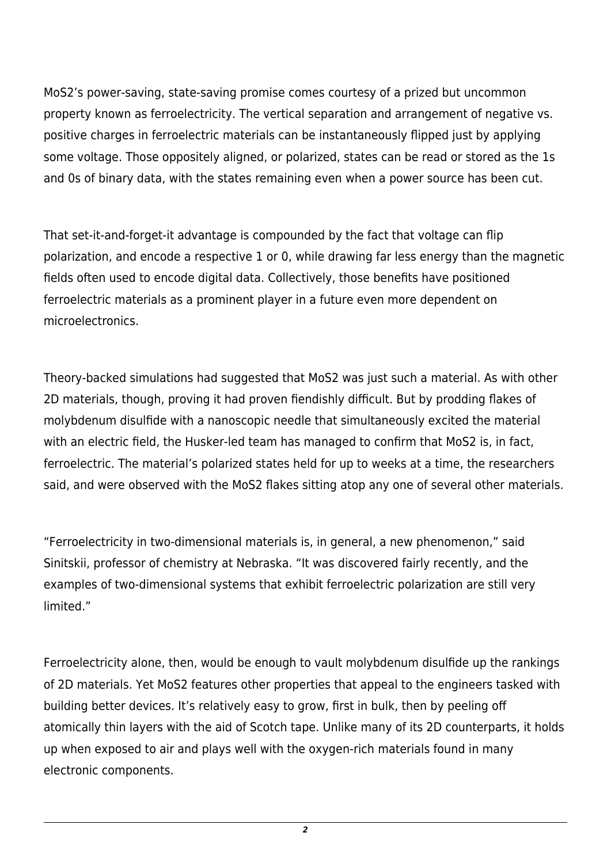MoS2's power-saving, state-saving promise comes courtesy of a prized but uncommon property known as ferroelectricity. The vertical separation and arrangement of negative vs. positive charges in ferroelectric materials can be instantaneously flipped just by applying some voltage. Those oppositely aligned, or polarized, states can be read or stored as the 1s and 0s of binary data, with the states remaining even when a power source has been cut.

That set-it-and-forget-it advantage is compounded by the fact that voltage can flip polarization, and encode a respective 1 or 0, while drawing far less energy than the magnetic fields often used to encode digital data. Collectively, those benefits have positioned ferroelectric materials as a prominent player in a future even more dependent on microelectronics.

Theory-backed simulations had suggested that MoS2 was just such a material. As with other 2D materials, though, proving it had proven fiendishly difficult. But by prodding flakes of molybdenum disulfide with a nanoscopic needle that simultaneously excited the material with an electric field, the Husker-led team has managed to confirm that MoS2 is, in fact, ferroelectric. The material's polarized states held for up to weeks at a time, the researchers said, and were observed with the MoS2 flakes sitting atop any one of several other materials.

"Ferroelectricity in two-dimensional materials is, in general, a new phenomenon," said Sinitskii, professor of chemistry at Nebraska. "It was discovered fairly recently, and the examples of two-dimensional systems that exhibit ferroelectric polarization are still very limited."

Ferroelectricity alone, then, would be enough to vault molybdenum disulfide up the rankings of 2D materials. Yet MoS2 features other properties that appeal to the engineers tasked with building better devices. It's relatively easy to grow, first in bulk, then by peeling off atomically thin layers with the aid of Scotch tape. Unlike many of its 2D counterparts, it holds up when exposed to air and plays well with the oxygen-rich materials found in many electronic components.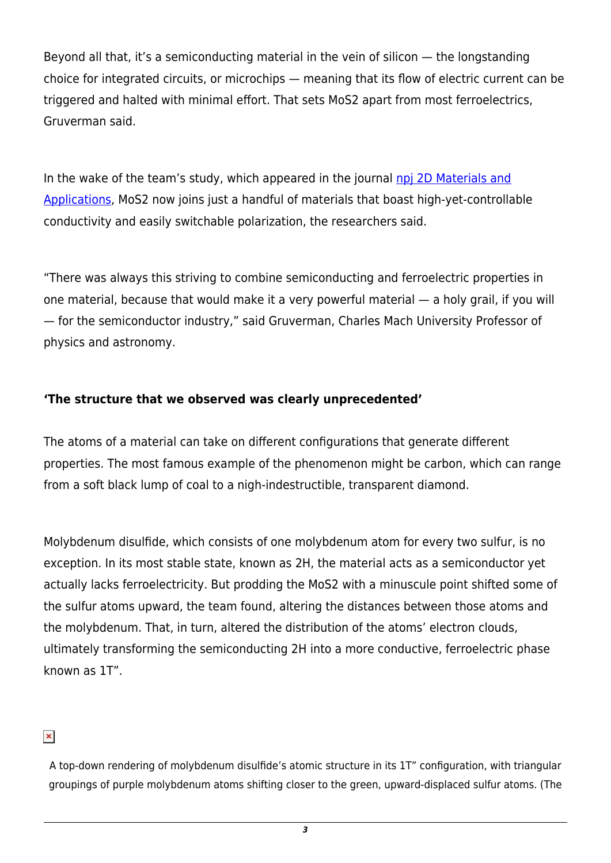Beyond all that, it's a semiconducting material in the vein of silicon — the longstanding choice for integrated circuits, or microchips — meaning that its flow of electric current can be triggered and halted with minimal effort. That sets MoS2 apart from most ferroelectrics, Gruverman said.

In the wake of the team's study, which appeared in the journal [npj 2D Materials and](https://www.nature.com/articles/s41699-022-00298-5) [Applications](https://www.nature.com/articles/s41699-022-00298-5), MoS2 now joins just a handful of materials that boast high-yet-controllable conductivity and easily switchable polarization, the researchers said.

"There was always this striving to combine semiconducting and ferroelectric properties in one material, because that would make it a very powerful material — a holy grail, if you will — for the semiconductor industry," said Gruverman, Charles Mach University Professor of physics and astronomy.

## **'The structure that we observed was clearly unprecedented'**

The atoms of a material can take on different configurations that generate different properties. The most famous example of the phenomenon might be carbon, which can range from a soft black lump of coal to a nigh-indestructible, transparent diamond.

Molybdenum disulfide, which consists of one molybdenum atom for every two sulfur, is no exception. In its most stable state, known as 2H, the material acts as a semiconductor yet actually lacks ferroelectricity. But prodding the MoS2 with a minuscule point shifted some of the sulfur atoms upward, the team found, altering the distances between those atoms and the molybdenum. That, in turn, altered the distribution of the atoms' electron clouds, ultimately transforming the semiconducting 2H into a more conductive, ferroelectric phase known as 1T".

## $\pmb{\times}$

A top-down rendering of molybdenum disulfide's atomic structure in its 1T" configuration, with triangular groupings of purple molybdenum atoms shifting closer to the green, upward-displaced sulfur atoms. (The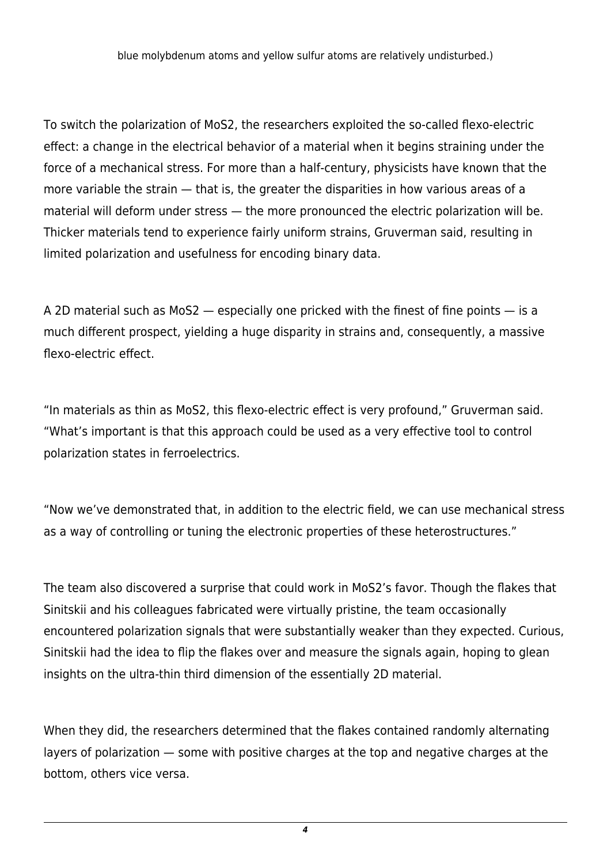blue molybdenum atoms and yellow sulfur atoms are relatively undisturbed.)

To switch the polarization of MoS2, the researchers exploited the so-called flexo-electric effect: a change in the electrical behavior of a material when it begins straining under the force of a mechanical stress. For more than a half-century, physicists have known that the more variable the strain — that is, the greater the disparities in how various areas of a material will deform under stress — the more pronounced the electric polarization will be. Thicker materials tend to experience fairly uniform strains, Gruverman said, resulting in limited polarization and usefulness for encoding binary data.

A 2D material such as MoS2 — especially one pricked with the finest of fine points — is a much different prospect, yielding a huge disparity in strains and, consequently, a massive flexo-electric effect.

"In materials as thin as MoS2, this flexo-electric effect is very profound," Gruverman said. "What's important is that this approach could be used as a very effective tool to control polarization states in ferroelectrics.

"Now we've demonstrated that, in addition to the electric field, we can use mechanical stress as a way of controlling or tuning the electronic properties of these heterostructures."

The team also discovered a surprise that could work in MoS2's favor. Though the flakes that Sinitskii and his colleagues fabricated were virtually pristine, the team occasionally encountered polarization signals that were substantially weaker than they expected. Curious, Sinitskii had the idea to flip the flakes over and measure the signals again, hoping to glean insights on the ultra-thin third dimension of the essentially 2D material.

When they did, the researchers determined that the flakes contained randomly alternating layers of polarization — some with positive charges at the top and negative charges at the bottom, others vice versa.

*4*